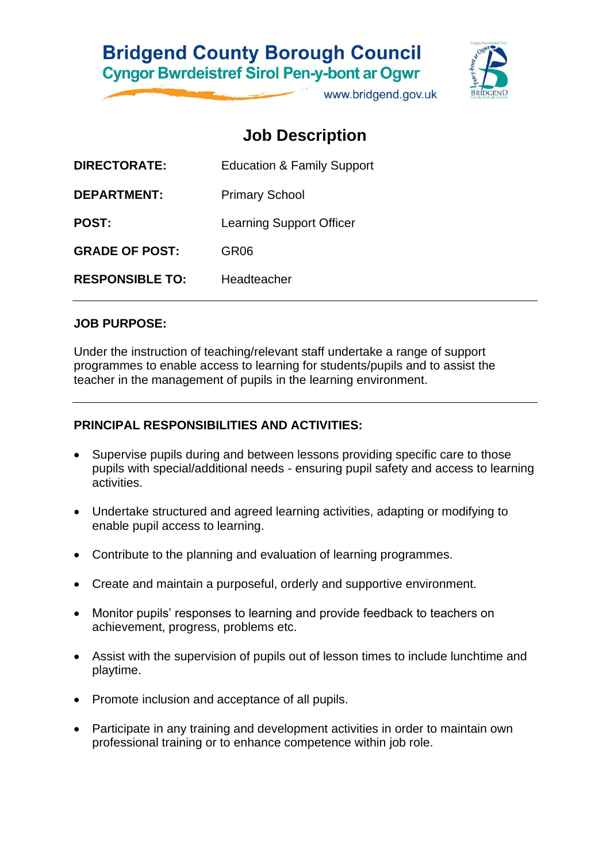## **Bridgend County Borough Council Cyngor Bwrdeistref Sirol Pen-y-bont ar Ogwr**

www.bridgend.gov.uk

## **Job Description**

| DIRECTORATE:           | <b>Education &amp; Family Support</b> |
|------------------------|---------------------------------------|
| DEPARTMENT:            | <b>Primary School</b>                 |
| <b>POST:</b>           | <b>Learning Support Officer</b>       |
| <b>GRADE OF POST:</b>  | GR <sub>06</sub>                      |
| <b>RESPONSIBLE TO:</b> | Headteacher                           |
|                        |                                       |

#### **JOB PURPOSE:**

Under the instruction of teaching/relevant staff undertake a range of support programmes to enable access to learning for students/pupils and to assist the teacher in the management of pupils in the learning environment.

#### **PRINCIPAL RESPONSIBILITIES AND ACTIVITIES:**

- Supervise pupils during and between lessons providing specific care to those pupils with special/additional needs - ensuring pupil safety and access to learning activities.
- Undertake structured and agreed learning activities, adapting or modifying to enable pupil access to learning.
- Contribute to the planning and evaluation of learning programmes.
- Create and maintain a purposeful, orderly and supportive environment.
- Monitor pupils' responses to learning and provide feedback to teachers on achievement, progress, problems etc.
- Assist with the supervision of pupils out of lesson times to include lunchtime and playtime.
- Promote inclusion and acceptance of all pupils.
- Participate in any training and development activities in order to maintain own professional training or to enhance competence within job role.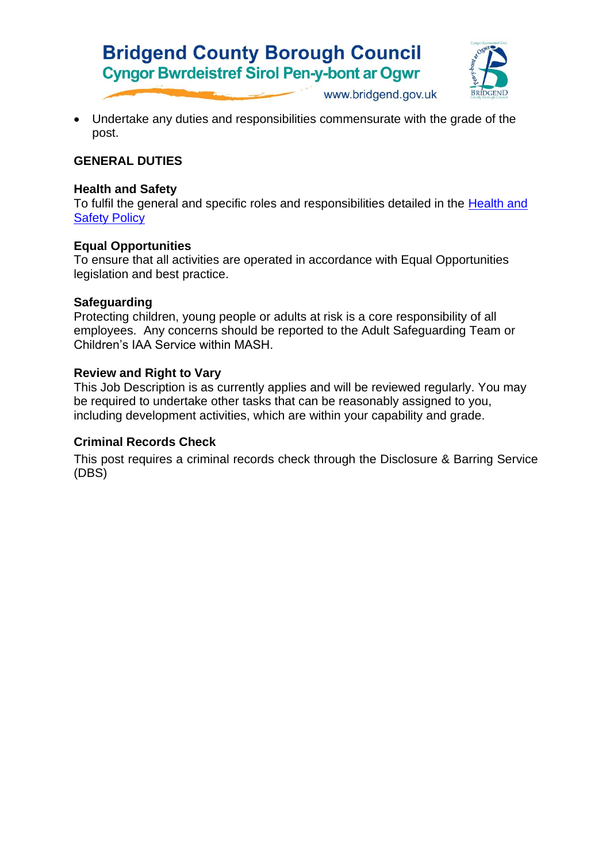# **Bridgend County Borough Council Cyngor Bwrdeistref Sirol Pen-y-bont ar Ogwr**



www.bridgend.gov.uk

• Undertake any duties and responsibilities commensurate with the grade of the post.

#### **GENERAL DUTIES**

#### **Health and Safety**

To fulfil the general and specific roles and responsibilities detailed in the [Health and](http://www.bridgenders.net/healthandsafety/Documents/Policies/Corporate%20Health%20and%20Safety%20Policy.pdf)  [Safety Policy](http://www.bridgenders.net/healthandsafety/Documents/Policies/Corporate%20Health%20and%20Safety%20Policy.pdf)

#### **Equal Opportunities**

To ensure that all activities are operated in accordance with Equal Opportunities legislation and best practice.

#### **Safeguarding**

Protecting children, young people or adults at risk is a core responsibility of all employees. Any concerns should be reported to the Adult Safeguarding Team or Children's IAA Service within MASH.

#### **Review and Right to Vary**

This Job Description is as currently applies and will be reviewed regularly. You may be required to undertake other tasks that can be reasonably assigned to you, including development activities, which are within your capability and grade.

#### **Criminal Records Check**

This post requires a criminal records check through the Disclosure & Barring Service (DBS)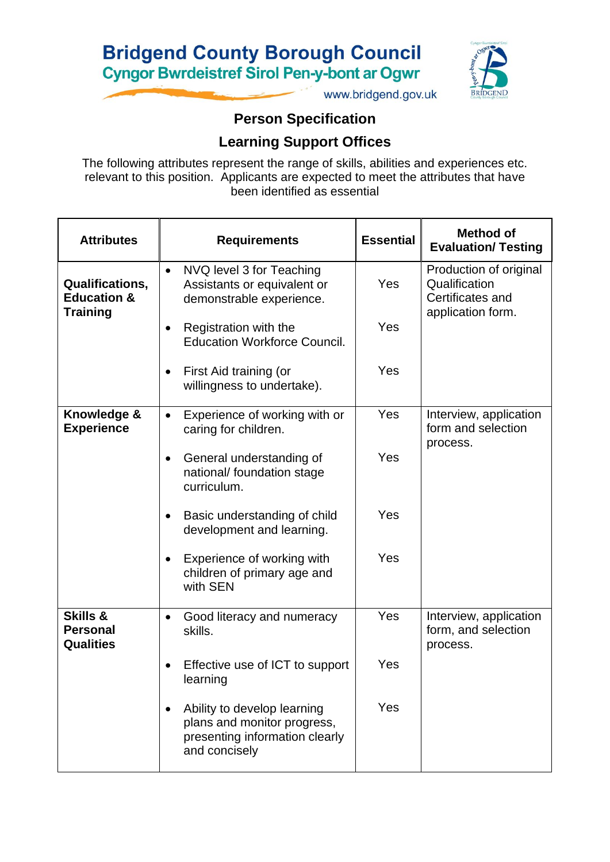# **Bridgend County Borough Council Cyngor Bwrdeistref Sirol Pen-y-bont ar Ogwr**



www.bridgend.gov.uk

## **Person Specification**

### **Learning Support Offices**

The following attributes represent the range of skills, abilities and experiences etc. relevant to this position. Applicants are expected to meet the attributes that have been identified as essential

| <b>Attributes</b>                                                   | <b>Requirements</b>                                                                                           | <b>Essential</b> | <b>Method of</b><br><b>Evaluation/ Testing</b>              |  |
|---------------------------------------------------------------------|---------------------------------------------------------------------------------------------------------------|------------------|-------------------------------------------------------------|--|
| <b>Qualifications,</b><br><b>Education &amp;</b><br><b>Training</b> | NVQ level 3 for Teaching<br>$\bullet$<br>Assistants or equivalent or<br>demonstrable experience.              | Yes              | Production of original<br>Qualification<br>Certificates and |  |
|                                                                     | Registration with the<br><b>Education Workforce Council.</b>                                                  | Yes              | application form.                                           |  |
|                                                                     | First Aid training (or<br>willingness to undertake).                                                          | Yes              |                                                             |  |
| Knowledge &<br><b>Experience</b>                                    | Experience of working with or<br>$\bullet$<br>caring for children.                                            | Yes              | Interview, application<br>form and selection<br>process.    |  |
|                                                                     | General understanding of<br>national/ foundation stage<br>curriculum.                                         | Yes              |                                                             |  |
|                                                                     | Basic understanding of child<br>development and learning.                                                     | Yes              |                                                             |  |
|                                                                     | Experience of working with<br>children of primary age and<br>with SEN                                         | Yes              |                                                             |  |
| <b>Skills &amp;</b><br><b>Personal</b><br><b>Qualities</b>          | Good literacy and numeracy<br>$\bullet$<br>skills.                                                            | Yes              | Interview, application<br>form, and selection<br>process.   |  |
|                                                                     | Effective use of ICT to support<br>learning                                                                   | Yes              |                                                             |  |
|                                                                     | Ability to develop learning<br>plans and monitor progress,<br>presenting information clearly<br>and concisely | Yes              |                                                             |  |